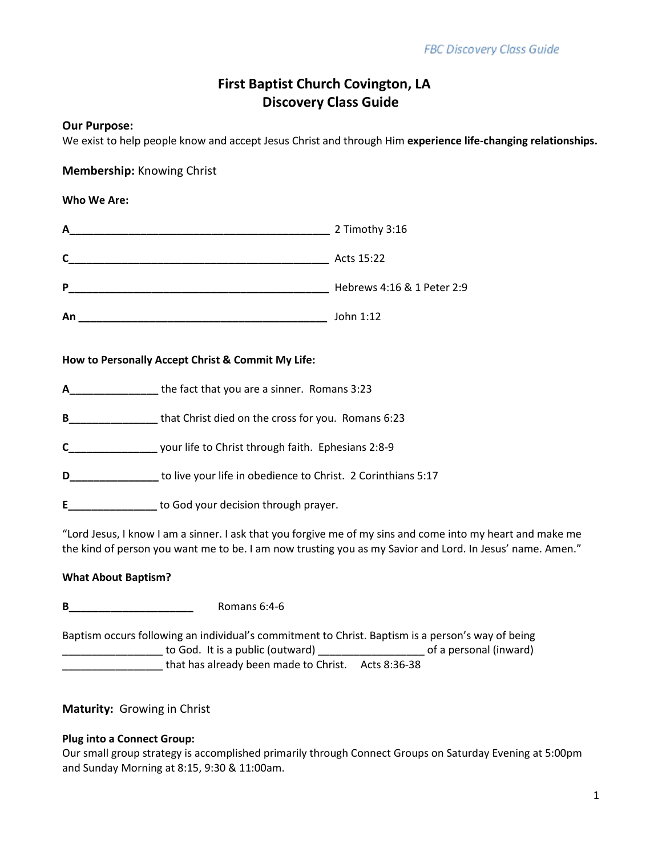# **First Baptist Church Covington, LA Discovery Class Guide**

## **Our Purpose:**

We exist to help people know and accept Jesus Christ and through Him **experience life-changing relationships.**

## **Membership:** Knowing Christ

## **Who We Are:**

| A  | 2 Timothy 3:16             |
|----|----------------------------|
| C  | Acts 15:22                 |
| P  | Hebrews 4:16 & 1 Peter 2:9 |
| An | John 1:12                  |

#### **How to Personally Accept Christ & Commit My Life:**

- **A\_\_\_\_\_\_\_\_\_\_\_\_\_\_\_** the fact that you are a sinner. Romans 3:23
- **B\_\_\_\_\_\_\_\_\_\_\_\_\_\_\_** that Christ died on the cross for you. Romans 6:23
- **C\_\_\_\_\_\_\_\_\_\_\_\_\_\_\_** your life to Christ through faith. Ephesians 2:8-9
- **D\_\_\_\_\_\_\_\_\_\_\_\_\_\_\_** to live your life in obedience to Christ. 2 Corinthians 5:17
- **E\_\_\_\_\_\_\_\_\_\_\_\_\_\_\_** to God your decision through prayer.

"Lord Jesus, I know I am a sinner. I ask that you forgive me of my sins and come into my heart and make me the kind of person you want me to be. I am now trusting you as my Savior and Lord. In Jesus' name. Amen."

## **What About Baptism?**

Baptism occurs following an individual's commitment to Christ. Baptism is a person's way of being \_\_\_\_\_\_\_\_\_\_\_\_\_\_\_\_\_ to God. It is a public (outward) \_\_\_\_\_\_\_\_\_\_\_\_\_\_\_\_\_\_ of a personal (inward) \_\_\_\_\_\_\_\_\_\_\_\_\_\_\_\_\_ that has already been made to Christ. Acts 8:36-38

## **Maturity:** Growing in Christ

#### **Plug into a Connect Group:**

Our small group strategy is accomplished primarily through Connect Groups on Saturday Evening at 5:00pm and Sunday Morning at 8:15, 9:30 & 11:00am.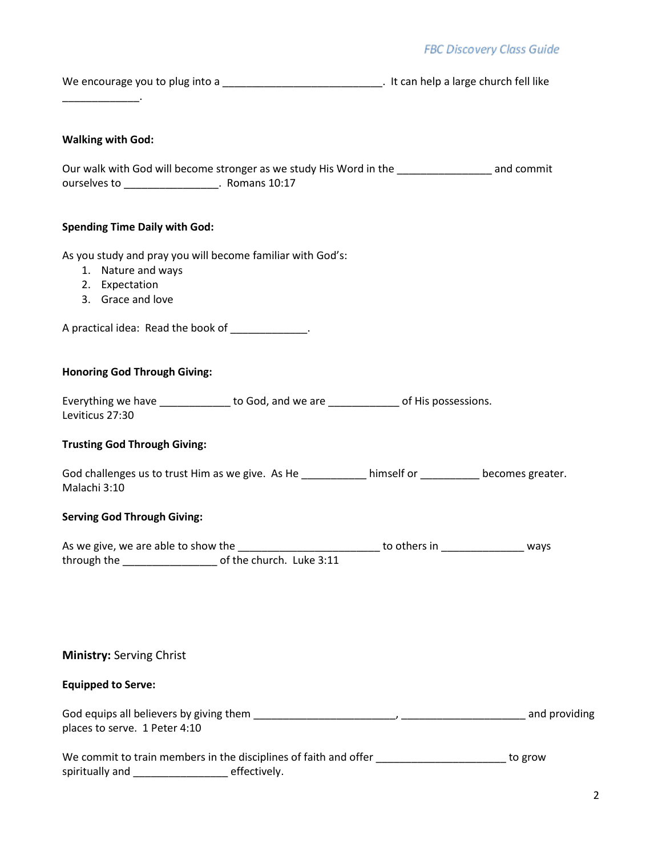| We encourage you to plug into a | t It can help a large church fell like |
|---------------------------------|----------------------------------------|
|                                 |                                        |
|                                 |                                        |

## **Walking with God:**

|              | Our walk with God will become stronger as we study His Word in the | and commit |
|--------------|--------------------------------------------------------------------|------------|
| ourselves to | Romans 10:17                                                       |            |

## **Spending Time Daily with God:**

As you study and pray you will become familiar with God's:

- 1. Nature and ways
- 2. Expectation
- 3. Grace and love

A practical idea: Read the book of \_\_\_\_\_\_\_\_\_\_\_\_\_.

## **Honoring God Through Giving:**

| Everything we have | to God, and we are | of His possessions. |
|--------------------|--------------------|---------------------|
| Leviticus 27:30    |                    |                     |

## **Trusting God Through Giving:**

| God challenges us to trust Him as we give. As He | himself or | becomes greater. |
|--------------------------------------------------|------------|------------------|
| Malachi 3:10                                     |            |                  |

#### **Serving God Through Giving:**

| As we give, we are able to show the |                          | to others in | ways |
|-------------------------------------|--------------------------|--------------|------|
| through the                         | of the church. Luke 3:11 |              |      |

## **Ministry:** Serving Christ

## **Equipped to Serve:**

| God equips all believers by giving them |  | and providing |
|-----------------------------------------|--|---------------|
| places to serve. 1 Peter 4:10           |  |               |

|                 | We commit to train members in the disciplines of faith and offer | to grow |
|-----------------|------------------------------------------------------------------|---------|
| spiritually and | effectively.                                                     |         |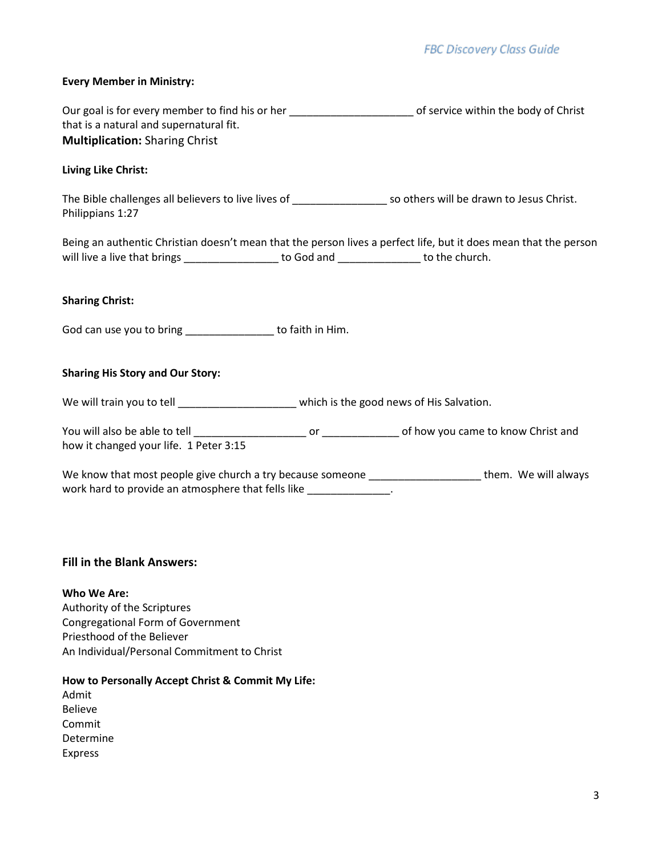## **Every Member in Ministry:**

| Our goal is for every member to find his or her | of service within the body of Christ |
|-------------------------------------------------|--------------------------------------|
| that is a natural and supernatural fit.         |                                      |
| <b>Multiplication: Sharing Christ</b>           |                                      |

#### **Living Like Christ:**

The Bible challenges all believers to live lives of \_\_\_\_\_\_\_\_\_\_\_\_\_\_\_\_ so others will be drawn to Jesus Christ. Philippians 1:27

Being an authentic Christian doesn't mean that the person lives a perfect life, but it does mean that the person will live a live that brings \_\_\_\_\_\_\_\_\_\_\_\_\_\_\_\_\_\_ to God and \_\_\_\_\_\_\_\_\_\_\_\_\_\_ to the church.

#### **Sharing Christ:**

God can use you to bring example to faith in Him.

#### **Sharing His Story and Our Story:**

We will train you to tell \_\_\_\_\_\_\_\_\_\_\_\_\_\_\_\_\_\_\_\_\_\_ which is the good news of His Salvation.

You will also be able to tell \_\_\_\_\_\_\_\_\_\_\_\_\_\_\_\_\_\_\_ or \_\_\_\_\_\_\_\_\_\_\_\_\_ of how you came to know Christ and how it changed your life. 1 Peter 3:15

We know that most people give church a try because someone \_\_\_\_\_\_\_\_\_\_\_\_\_\_\_\_\_\_\_\_\_\_ them. We will always work hard to provide an atmosphere that fells like \_\_\_\_\_\_\_\_\_\_\_\_\_\_\_\_.

#### **Fill in the Blank Answers:**

**Who We Are:** Authority of the Scriptures Congregational Form of Government Priesthood of the Believer An Individual/Personal Commitment to Christ

**How to Personally Accept Christ & Commit My Life:**

Admit Believe Commit Determine Express